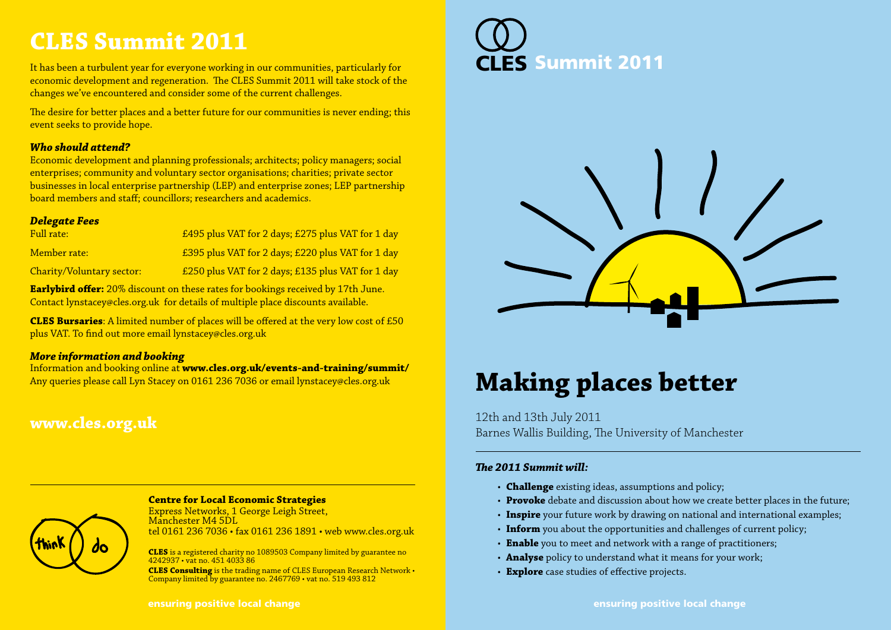### **CLES Summit 2011**

It has been a turbulent year for everyone working in our communities, particularly for economic development and regeneration. The CLES Summit 2011 will take stock of the changes we've encountered and consider some of the current challenges.

The desire for better places and a better future for our communities is never ending; this event seeks to provide hope.

#### *Who should attend?*

Economic development and planning professionals; architects; policy managers; social enterprises; community and voluntary sector organisations; charities; private sector businesses in local enterprise partnership (LEP) and enterprise zones; LEP partnership board members and staff; councillors; researchers and academics.

#### *Delegate Fees*

| Full rate:                | £495 plus VAT for 2 days; £275 plus VAT for 1 day |
|---------------------------|---------------------------------------------------|
| Member rate:              | £395 plus VAT for 2 days; £220 plus VAT for 1 day |
| Charity/Voluntary sector: | £250 plus VAT for 2 days; £135 plus VAT for 1 day |

**Earlybird offer:** 20% discount on these rates for bookings received by 17th June. Contact lynstacey@cles.org.uk for details of multiple place discounts available.

**CLES Bursaries**: A limited number of places will be offered at the very low cost of £50 plus VAT. To find out more email lynstacey@cles.org.uk

#### *More information and booking*

Information and booking online at **www.cles.org.uk/events-and-training/summit/** Any queries please call Lyn Stacey on 0161 236 7036 or email lynstacey@cles.org.uk

### **www.cles.org.uk**



#### **Centre for Local Economic Strategies**

Express Networks, 1 George Leigh Street, Manchester M4 5DL tel 0161 236 7036 • fax 0161 236 1891 • web www.cles.org.uk

**CLES** is a registered charity no 1089503 Company limited by guarantee no 4242937 • vat no. 451 4033 86

**CLES Consulting** is the trading name of CLES European Research Network • Company limited by guarantee no. 2467769 • vat no. 519 493 812





# **Making places better**

12th and 13th July 2011 Barnes Wallis Building, The University of Manchester

#### *The 2011 Summit will:*

- **Challenge** existing ideas, assumptions and policy;
- **Provoke** debate and discussion about how we create better places in the future;
- **Inspire** your future work by drawing on national and international examples;
- **Inform** you about the opportunities and challenges of current policy;
- **Enable** you to meet and network with a range of practitioners;
- **Analyse** policy to understand what it means for your work;
- **Explore** case studies of effective projects.